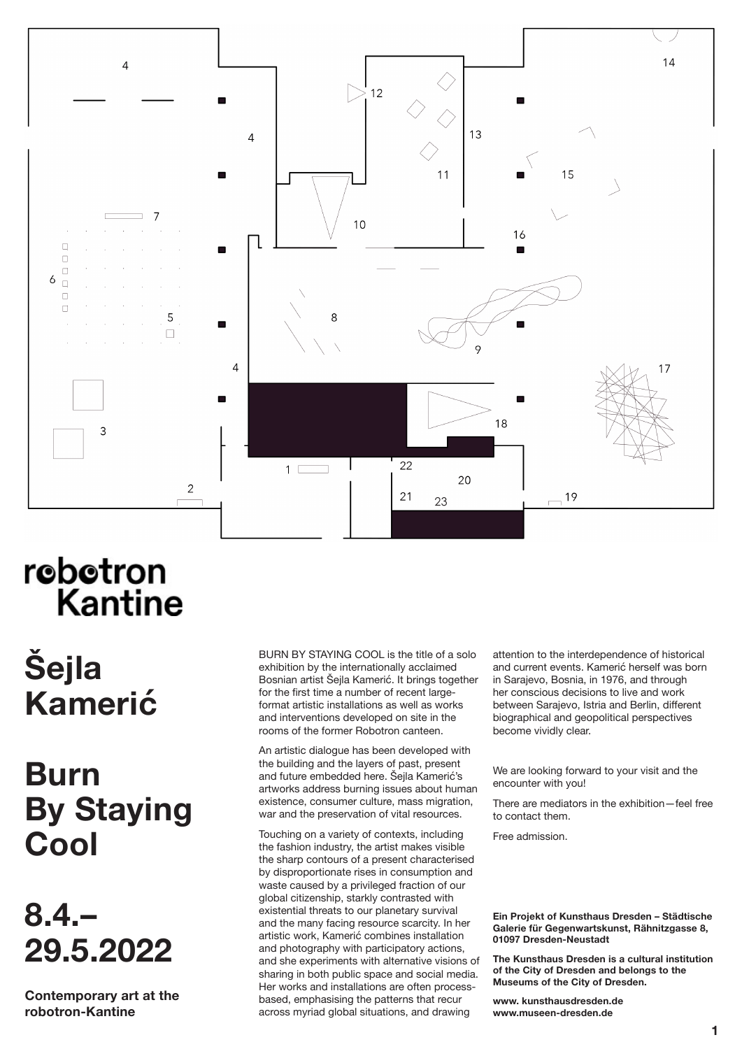# **Šejla Kamerić**

# **Burn**

# **By Staying Cool**

# **8.4.– 29.5.2022**

### **Contemporary art at the robotron-Kantine**

**Ein Projekt of Kunsthaus Dresden – Städtische Galerie für Gegenwartskunst, Rähnitzgasse 8, 01097 Dresden-Neustadt** 

**The Kunsthaus Dresden is a cultural institution of the City of Dresden and belongs to the Museums of the City of Dresden.**

**www. kunsthausdresden.de www.museen-dresden.de**

BURN BY STAYING COOL is the title of a solo exhibition by the internationally acclaimed Bosnian artist Šejla Kamerić. It brings together for the first time a number of recent largeformat artistic installations as well as works and interventions developed on site in the rooms of the former Robotron canteen.

An artistic dialogue has been developed with the building and the layers of past, present and future embedded here. Šejla Kamerić's artworks address burning issues about human existence, consumer culture, mass migration, war and the preservation of vital resources.

Touching on a variety of contexts, including the fashion industry, the artist makes visible the sharp contours of a present characterised by disproportionate rises in consumption and waste caused by a privileged fraction of our global citizenship, starkly contrasted with existential threats to our planetary survival and the many facing resource scarcity. In her artistic work, Kamerić combines installation and photography with participatory actions, and she experiments with alternative visions of sharing in both public space and social media. Her works and installations are often processbased, emphasising the patterns that recur across myriad global situations, and drawing

attention to the interdependence of historical and current events. Kamerić herself was born in Sarajevo, Bosnia, in 1976, and through her conscious decisions to live and work between Sarajevo, Istria and Berlin, different biographical and geopolitical perspectives become vividly clear.

We are looking forward to your visit and the encounter with you!

There are mediators in the exhibition—feel free to contact them.

Free admission.



# robotron Kantine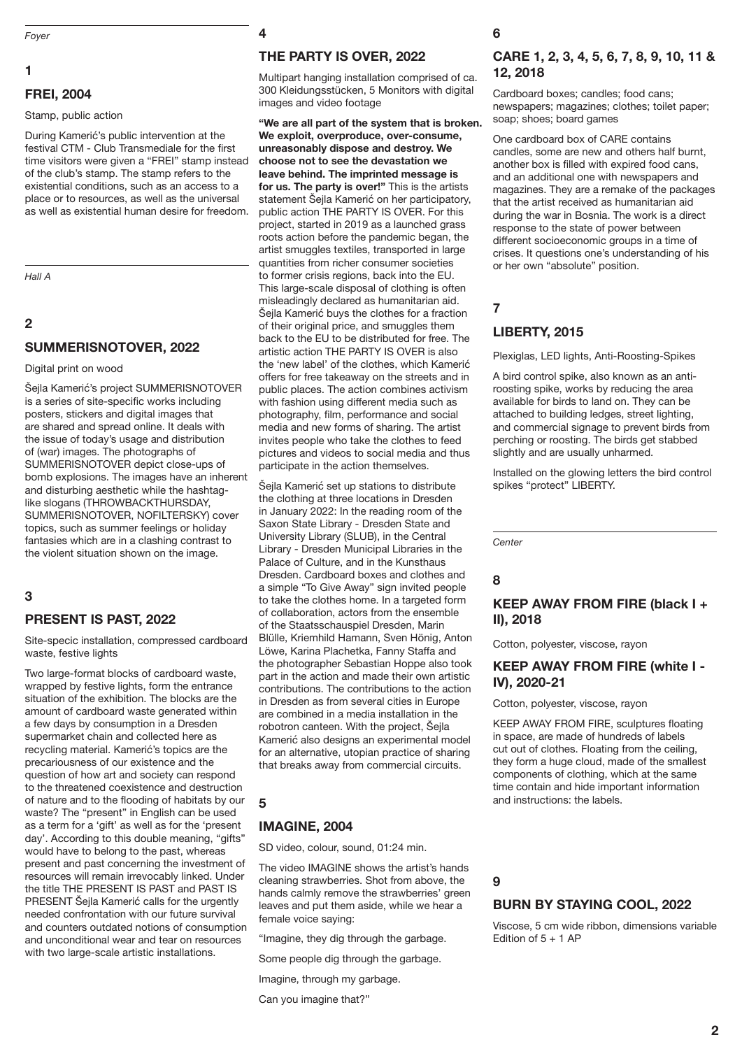**2**

# **1**

#### **FREI, 2004**

Stamp, public action

During Kamerić's public intervention at the festival CTM - Club Transmediale for the first time visitors were given a "FREI" stamp instead of the club's stamp. The stamp refers to the existential conditions, such as an access to a place or to resources, as well as the universal as well as existential human desire for freedom.

*Hall A*

#### **2**

#### **SUMMERISNOTOVER, 2022**

#### Digital print on wood

Šejla Kamerić's project SUMMERISNOTOVER is a series of site-specific works including posters, stickers and digital images that are shared and spread online. It deals with the issue of today's usage and distribution of (war) images. The photographs of SUMMERISNOTOVER depict close-ups of bomb explosions. The images have an inherent and disturbing aesthetic while the hashtaglike slogans (THROWBACKTHURSDAY, SUMMERISNOTOVER, NOFILTERSKY) cover topics, such as summer feelings or holiday fantasies which are in a clashing contrast to the violent situation shown on the image.

#### **3**

#### **PRESENT IS PAST, 2022**

Site-specic installation, compressed cardboard waste, festive lights

Two large-format blocks of cardboard waste, wrapped by festive lights, form the entrance situation of the exhibition. The blocks are the amount of cardboard waste generated within a few days by consumption in a Dresden supermarket chain and collected here as recycling material. Kamerić's topics are the precariousness of our existence and the question of how art and society can respond to the threatened coexistence and destruction of nature and to the flooding of habitats by our waste? The "present" in English can be used as a term for a 'gift' as well as for the 'present day'. According to this double meaning, "gifts" would have to belong to the past, whereas present and past concerning the investment of resources will remain irrevocably linked. Under the title THE PRESENT IS PAST and PAST IS PRESENT Šejla Kamerić calls for the urgently needed confrontation with our future survival and counters outdated notions of consumption and unconditional wear and tear on resources with two large-scale artistic installations.

#### **4**

#### **THE PARTY IS OVER, 2022**

Multipart hanging installation comprised of ca. 300 Kleidungsstücken, 5 Monitors with digital images and video footage

**"We are all part of the system that is broken. We exploit, overproduce, over-consume, unreasonably dispose and destroy. We choose not to see the devastation we leave behind. The imprinted message is for us. The party is over!"** This is the artists statement Šejla Kamerić on her participatory, public action THE PARTY IS OVER. For this project, started in 2019 as a launched grass roots action before the pandemic began, the artist smuggles textiles, transported in large quantities from richer consumer societies to former crisis regions, back into the EU. This large-scale disposal of clothing is often misleadingly declared as humanitarian aid. Šejla Kamerić buys the clothes for a fraction of their original price, and smuggles them back to the EU to be distributed for free. The artistic action THE PARTY IS OVER is also the 'new label' of the clothes, which Kamerić offers for free takeaway on the streets and in public places. The action combines activism with fashion using different media such as photography, film, performance and social media and new forms of sharing. The artist invites people who take the clothes to feed pictures and videos to social media and thus participate in the action themselves.

> Viscose, 5 cm wide ribbon, dimensions variable Edition of  $5 + 1$  AP

Šejla Kamerić set up stations to distribute the clothing at three locations in Dresden in January 2022: In the reading room of the Saxon State Library - Dresden State and University Library (SLUB), in the Central Library - Dresden Municipal Libraries in the Palace of Culture, and in the Kunsthaus Dresden. Cardboard boxes and clothes and a simple "To Give Away" sign invited people to take the clothes home. In a targeted form of collaboration, actors from the ensemble of the Staatsschauspiel Dresden, Marin Blülle, Kriemhild Hamann, Sven Hönig, Anton Löwe, Karina Plachetka, Fanny Staffa and the photographer Sebastian Hoppe also took part in the action and made their own artistic contributions. The contributions to the action in Dresden as from several cities in Europe are combined in a media installation in the robotron canteen. With the project, Šejla Kamerić also designs an experimental model for an alternative, utopian practice of sharing that breaks away from commercial circuits.

**5**

# **IMAGINE, 2004**

SD video, colour, sound, 01:24 min.

The video IMAGINE shows the artist's hands cleaning strawberries. Shot from above, the hands calmly remove the strawberries' green leaves and put them aside, while we hear a female voice saying:

"Imagine, they dig through the garbage.

Some people dig through the garbage.

Imagine, through my garbage.

Can you imagine that?"

**6**

# **CARE 1, 2, 3, 4, 5, 6, 7, 8, 9, 10, 11 & 12, 2018**

Cardboard boxes; candles; food cans; newspapers; magazines; clothes; toilet paper; soap; shoes; board games

One cardboard box of CARE contains candles, some are new and others half burnt, another box is filled with expired food cans, and an additional one with newspapers and magazines. They are a remake of the packages that the artist received as humanitarian aid during the war in Bosnia. The work is a direct response to the state of power between different socioeconomic groups in a time of crises. It questions one's understanding of his or her own "absolute" position.

# **7**

#### **LIBERTY, 2015**

Plexiglas, LED lights, Anti-Roosting-Spikes

A bird control spike, also known as an antiroosting spike, works by reducing the area available for birds to land on. They can be attached to building ledges, street lighting, and commercial signage to prevent birds from perching or roosting. The birds get stabbed slightly and are usually unharmed.

Installed on the glowing letters the bird control spikes "protect" LIBERTY.

*Center*

#### **8**

### **KEEP AWAY FROM FIRE (black I + II), 2018**

Cotton, polyester, viscose, rayon

#### **KEEP AWAY FROM FIRE (white I - IV), 2020-21**

Cotton, polyester, viscose, rayon

KEEP AWAY FROM FIRE, sculptures floating in space, are made of hundreds of labels cut out of clothes. Floating from the ceiling, they form a huge cloud, made of the smallest components of clothing, which at the same time contain and hide important information

and instructions: the labels.

### **9**

#### **BURN BY STAYING COOL, 2022**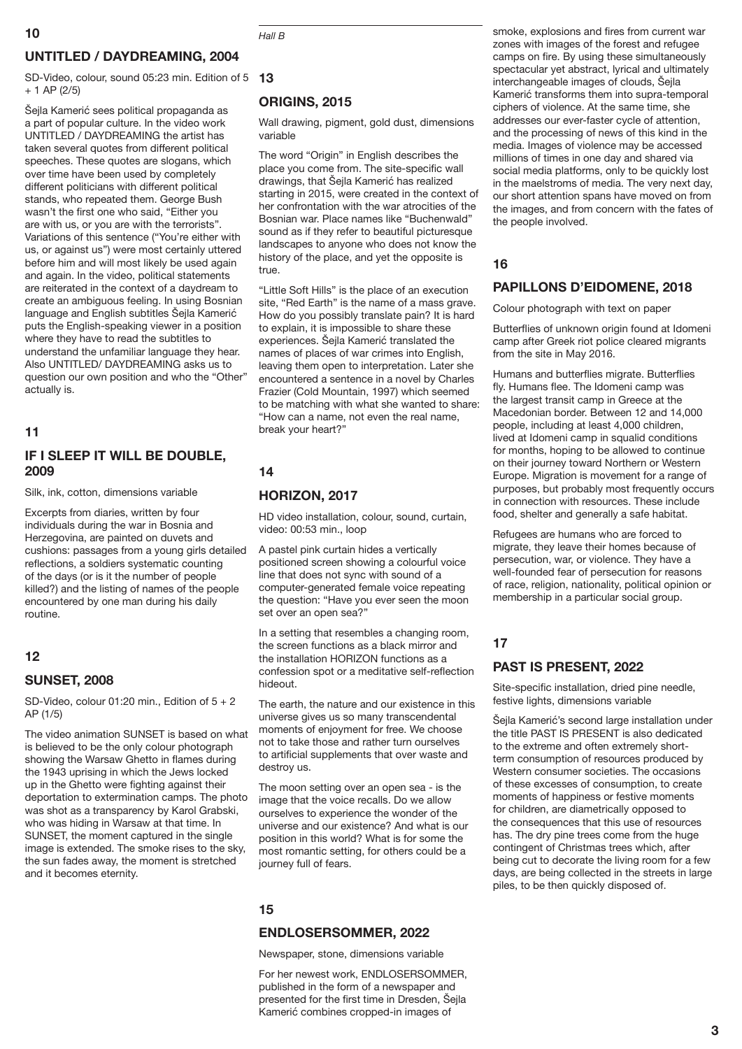SD-Video, colour, sound 05:23 min. Edition of 5 **13**  $+ 1$  AP (2/5)

# **UNTITLED / DAYDREAMING, 2004**

Šejla Kamerić sees political propaganda as a part of popular culture. In the video work UNTITLED / DAYDREAMING the artist has taken several quotes from different political speeches. These quotes are slogans, which over time have been used by completely different politicians with different political stands, who repeated them. George Bush wasn't the first one who said, "Either you are with us, or you are with the terrorists". Variations of this sentence ("You're either with us, or against us") were most certainly uttered before him and will most likely be used again and again. In the video, political statements are reiterated in the context of a daydream to create an ambiguous feeling. In using Bosnian language and English subtitles Šejla Kamerić puts the English-speaking viewer in a position where they have to read the subtitles to understand the unfamiliar language they hear. Also UNTITLED/ DAYDREAMING asks us to question our own position and who the "Other" actually is.

SD-Video, colour 01:20 min., Edition of  $5 + 2$ AP (1/5)

#### **11**

# **IF I SLEEP IT WILL BE DOUBLE, 2009**

Silk, ink, cotton, dimensions variable

Excerpts from diaries, written by four individuals during the war in Bosnia and Herzegovina, are painted on duvets and cushions: passages from a young girls detailed reflections, a soldiers systematic counting of the days (or is it the number of people killed?) and the listing of names of the people encountered by one man during his daily routine.

# **12**

### **SUNSET, 2008**

The video animation SUNSET is based on what is believed to be the only colour photograph showing the Warsaw Ghetto in flames during the 1943 uprising in which the Jews locked up in the Ghetto were fighting against their deportation to extermination camps. The photo was shot as a transparency by Karol Grabski, who was hiding in Warsaw at that time. In SUNSET, the moment captured in the single image is extended. The smoke rises to the sky, the sun fades away, the moment is stretched and it becomes eternity.

#### *Hall B*

#### **ORIGINS, 2015**

Wall drawing, pigment, gold dust, dimensions variable

The word "Origin" in English describes the place you come from. The site-specific wall drawings, that Šejla Kamerić has realized starting in 2015, were created in the context of her confrontation with the war atrocities of the Bosnian war. Place names like "Buchenwald" sound as if they refer to beautiful picturesque landscapes to anyone who does not know the history of the place, and yet the opposite is true.

"Little Soft Hills" is the place of an execution site, "Red Earth" is the name of a mass grave. How do you possibly translate pain? It is hard to explain, it is impossible to share these experiences. Šejla Kamerić translated the names of places of war crimes into English, leaving them open to interpretation. Later she encountered a sentence in a novel by Charles Frazier (Cold Mountain, 1997) which seemed to be matching with what she wanted to share: "How can a name, not even the real name, break your heart?"

# **14**

# **HORIZON, 2017**

HD video installation, colour, sound, curtain, video: 00:53 min., loop

A pastel pink curtain hides a vertically positioned screen showing a colourful voice line that does not sync with sound of a computer-generated female voice repeating the question: "Have you ever seen the moon set over an open sea?"

In a setting that resembles a changing room, the screen functions as a black mirror and the installation HORIZON functions as a confession spot or a meditative self-reflection hideout.

The earth, the nature and our existence in this universe gives us so many transcendental moments of enjoyment for free. We choose not to take those and rather turn ourselves to artificial supplements that over waste and destroy us.

The moon setting over an open sea - is the image that the voice recalls. Do we allow ourselves to experience the wonder of the universe and our existence? And what is our position in this world? What is for some the most romantic setting, for others could be a journey full of fears.

# **15**

#### **ENDLOSERSOMMER, 2022**

Newspaper, stone, dimensions variable

For her newest work, ENDLOSERSOMMER, published in the form of a newspaper and presented for the first time in Dresden, Šejla Kamerić combines cropped-in images of

smoke, explosions and fires from current war zones with images of the forest and refugee camps on fire. By using these simultaneously spectacular yet abstract, lyrical and ultimately interchangeable images of clouds, Šejla Kamerić transforms them into supra-temporal ciphers of violence. At the same time, she addresses our ever-faster cycle of attention, and the processing of news of this kind in the media. Images of violence may be accessed millions of times in one day and shared via social media platforms, only to be quickly lost in the maelstroms of media. The very next day, our short attention spans have moved on from the images, and from concern with the fates of the people involved.

# **16**

# **PAPILLONS D'EIDOMENE, 2018**

Colour photograph with text on paper

Butterflies of unknown origin found at Idomeni camp after Greek riot police cleared migrants from the site in May 2016.

Humans and butterflies migrate. Butterflies fly. Humans flee. The Idomeni camp was the largest transit camp in Greece at the Macedonian border. Between 12 and 14,000 people, including at least 4,000 children, lived at Idomeni camp in squalid conditions for months, hoping to be allowed to continue on their journey toward Northern or Western Europe. Migration is movement for a range of purposes, but probably most frequently occurs in connection with resources. These include food, shelter and generally a safe habitat.

Refugees are humans who are forced to migrate, they leave their homes because of persecution, war, or violence. They have a well-founded fear of persecution for reasons of race, religion, nationality, political opinion or membership in a particular social group.

# **17**

# **PAST IS PRESENT, 2022**

Site-specific installation, dried pine needle, festive lights, dimensions variable

Šejla Kamerić's second large installation under the title PAST IS PRESENT is also dedicated to the extreme and often extremely shortterm consumption of resources produced by Western consumer societies. The occasions of these excesses of consumption, to create

moments of happiness or festive moments

for children, are diametrically opposed to the consequences that this use of resources has. The dry pine trees come from the huge contingent of Christmas trees which, after being cut to decorate the living room for a few days, are being collected in the streets in large piles, to be then quickly disposed of.